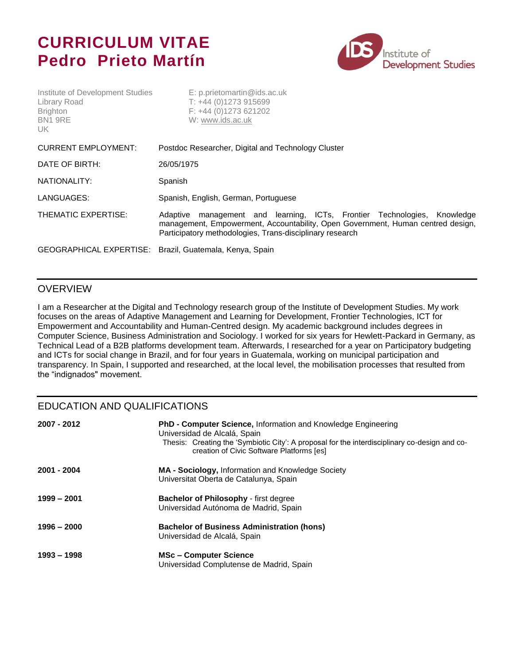# **CURRICULUM VITAE Pedro Prieto Martín**

Institute of Development Studies E: p.prietomartin@ids.ac.uk



| Library Road<br><b>Brighton</b><br>BN1 9RE<br>UK.       | $T: +44(0)1273915699$<br>$F: +44(0)1273621202$<br>W: www.ids.ac.uk                                                                                                                                                         |
|---------------------------------------------------------|----------------------------------------------------------------------------------------------------------------------------------------------------------------------------------------------------------------------------|
| <b>CURRENT EMPLOYMENT:</b>                              | Postdoc Researcher, Digital and Technology Cluster                                                                                                                                                                         |
| DATE OF BIRTH:                                          | 26/05/1975                                                                                                                                                                                                                 |
| NATIONALITY:                                            | Spanish                                                                                                                                                                                                                    |
| LANGUAGES:                                              | Spanish, English, German, Portuguese                                                                                                                                                                                       |
| THEMATIC EXPERTISE:                                     | management and learning, ICTs, Frontier Technologies, Knowledge<br>Adaptive<br>management, Empowerment, Accountability, Open Government, Human centred design,<br>Participatory methodologies, Trans-disciplinary research |
| GEOGRAPHICAL EXPERTISE: Brazil, Guatemala, Kenya, Spain |                                                                                                                                                                                                                            |

#### OVERVIEW

I am a Researcher at the Digital and Technology research group of the Institute of Development Studies. My work focuses on the areas of Adaptive Management and Learning for Development, Frontier Technologies, ICT for Empowerment and Accountability and Human-Centred design. My academic background includes degrees in Computer Science, Business Administration and Sociology. I worked for six years for Hewlett-Packard in Germany, as Technical Lead of a B2B platforms development team. Afterwards, I researched for a year on Participatory budgeting and ICTs for social change in Brazil, and for four years in Guatemala, working on municipal participation and transparency. In Spain, I supported and researched, at the local level, the mobilisation processes that resulted from the "indignados" movement.

### EDUCATION AND QUALIFICATIONS

| 2007 - 2012 | PhD - Computer Science, Information and Knowledge Engineering<br>Universidad de Alcalá, Spain<br>Thesis: Creating the 'Symbiotic City': A proposal for the interdisciplinary co-design and co-<br>creation of Civic Software Platforms [es] |
|-------------|---------------------------------------------------------------------------------------------------------------------------------------------------------------------------------------------------------------------------------------------|
| 2001 - 2004 | <b>MA - Sociology, Information and Knowledge Society</b><br>Universitat Oberta de Catalunya, Spain                                                                                                                                          |
| 1999 – 2001 | <b>Bachelor of Philosophy - first degree</b><br>Universidad Autónoma de Madrid, Spain                                                                                                                                                       |
| 1996 – 2000 | <b>Bachelor of Business Administration (hons)</b><br>Universidad de Alcalá, Spain                                                                                                                                                           |
| 1993 - 1998 | <b>MSc-Computer Science</b><br>Universidad Complutense de Madrid, Spain                                                                                                                                                                     |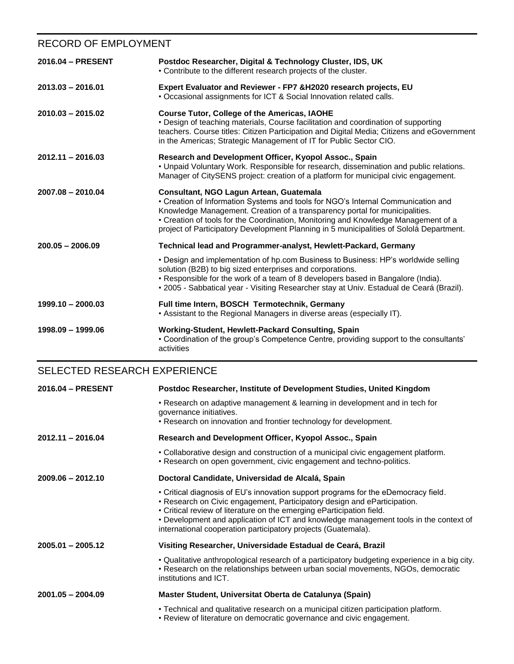# RECORD OF EMPLOYMENT

| 2016.04 - PRESENT   | Postdoc Researcher, Digital & Technology Cluster, IDS, UK<br>• Contribute to the different research projects of the cluster.                                                                                                                                                                                                                                                                |
|---------------------|---------------------------------------------------------------------------------------------------------------------------------------------------------------------------------------------------------------------------------------------------------------------------------------------------------------------------------------------------------------------------------------------|
| $2013.03 - 2016.01$ | Expert Evaluator and Reviewer - FP7 & H2020 research projects, EU<br>. Occasional assignments for ICT & Social Innovation related calls.                                                                                                                                                                                                                                                    |
| $2010.03 - 2015.02$ | Course Tutor, College of the Americas, IAOHE<br>• Design of teaching materials, Course facilitation and coordination of supporting<br>teachers. Course titles: Citizen Participation and Digital Media; Citizens and eGovernment<br>in the Americas; Strategic Management of IT for Public Sector CIO.                                                                                      |
| $2012.11 - 2016.03$ | Research and Development Officer, Kyopol Assoc., Spain<br>. Unpaid Voluntary Work. Responsible for research, dissemination and public relations.<br>Manager of CitySENS project: creation of a platform for municipal civic engagement.                                                                                                                                                     |
| $2007.08 - 2010.04$ | Consultant, NGO Lagun Artean, Guatemala<br>• Creation of Information Systems and tools for NGO's Internal Communication and<br>Knowledge Management. Creation of a transparency portal for municipalities.<br>• Creation of tools for the Coordination, Monitoring and Knowledge Management of a<br>project of Participatory Development Planning in 5 municipalities of Sololá Department. |
| $200.05 - 2006.09$  | Technical lead and Programmer-analyst, Hewlett-Packard, Germany                                                                                                                                                                                                                                                                                                                             |
|                     | • Design and implementation of hp.com Business to Business: HP's worldwide selling<br>solution (B2B) to big sized enterprises and corporations.<br>• Responsible for the work of a team of 8 developers based in Bangalore (India).<br>• 2005 - Sabbatical year - Visiting Researcher stay at Univ. Estadual de Ceará (Brazil).                                                             |
| $1999.10 - 2000.03$ | Full time Intern, BOSCH Termotechnik, Germany<br>• Assistant to the Regional Managers in diverse areas (especially IT).                                                                                                                                                                                                                                                                     |
| 1998.09 - 1999.06   | Working-Student, Hewlett-Packard Consulting, Spain<br>• Coordination of the group's Competence Centre, providing support to the consultants'<br>activities                                                                                                                                                                                                                                  |

# SELECTED RESEARCH EXPERIENCE

| 2016.04 - PRESENT   | Postdoc Researcher, Institute of Development Studies, United Kingdom                                                                                                                                                                                                                                                                                                                              |
|---------------------|---------------------------------------------------------------------------------------------------------------------------------------------------------------------------------------------------------------------------------------------------------------------------------------------------------------------------------------------------------------------------------------------------|
|                     | • Research on adaptive management & learning in development and in tech for<br>governance initiatives.                                                                                                                                                                                                                                                                                            |
|                     | • Research on innovation and frontier technology for development.                                                                                                                                                                                                                                                                                                                                 |
| $2012.11 - 2016.04$ | Research and Development Officer, Kyopol Assoc., Spain                                                                                                                                                                                                                                                                                                                                            |
|                     | • Collaborative design and construction of a municipal civic engagement platform.<br>. Research on open government, civic engagement and techno-politics.                                                                                                                                                                                                                                         |
| $2009.06 - 2012.10$ | Doctoral Candidate, Universidad de Alcalá, Spain                                                                                                                                                                                                                                                                                                                                                  |
|                     | • Critical diagnosis of EU's innovation support programs for the eDemocracy field.<br>• Research on Civic engagement, Participatory design and eParticipation.<br>• Critical review of literature on the emerging eParticipation field.<br>• Development and application of ICT and knowledge management tools in the context of<br>international cooperation participatory projects (Guatemala). |
| $2005.01 - 2005.12$ | Visiting Researcher, Universidade Estadual de Ceará, Brazil                                                                                                                                                                                                                                                                                                                                       |
|                     | . Qualitative anthropological research of a participatory budgeting experience in a big city.<br>• Research on the relationships between urban social movements, NGOs, democratic<br>institutions and ICT.                                                                                                                                                                                        |
| $2001.05 - 2004.09$ | Master Student, Universitat Oberta de Catalunya (Spain)                                                                                                                                                                                                                                                                                                                                           |
|                     | • Technical and qualitative research on a municipal citizen participation platform.<br>. Review of literature on democratic governance and civic engagement.                                                                                                                                                                                                                                      |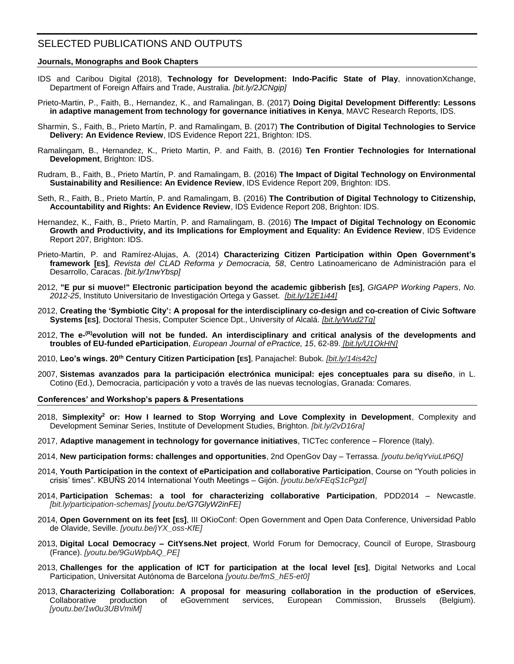## SELECTED PUBLICATIONS AND OUTPUTS

#### **Journals, Monographs and Book Chapters**

- IDS and Caribou Digital (2018), **Technology for Development: Indo-Pacific State of Play**, innovationXchange, Department of Foreign Affairs and Trade, Australia. *[\[bit.ly/2JCNgip\]](http://bit.ly/2JCNgip)*
- Prieto-Martin, P., Faith, B., Hernandez, K., and Ramalingan, B. (2017) **Doing Digital Development Differently: Lessons in adaptive management from technology for governance initiatives in Kenya**, MAVC Research Reports, IDS.
- Sharmin, S., Faith, B., Prieto Martín, P. and Ramalingam, B. (2017) **The Contribution of Digital Technologies to Service Delivery: An Evidence Review**, IDS Evidence Report 221, Brighton: IDS.
- Ramalingam, B., Hernandez, K., Prieto Martin, P. and Faith, B. (2016) **Ten Frontier Technologies for International Development**, Brighton: IDS.
- Rudram, B., Faith, B., Prieto Martín, P. and Ramalingam, B. (2016) **The Impact of Digital Technology on Environmental Sustainability and Resilience: An Evidence Review**, IDS Evidence Report 209, Brighton: IDS.
- Seth, R., Faith, B., Prieto Martín, P. and Ramalingam, B. (2016) **The Contribution of Digital Technology to Citizenship, Accountability and Rights: An Evidence Review**, IDS Evidence Report 208, Brighton: IDS.
- Hernandez, K., Faith, B., Prieto Martín, P. and Ramalingam, B. (2016) **The Impact of Digital Technology on Economic Growth and Productivity, and its Implications for Employment and Equality: An Evidence Review**, IDS Evidence Report 207, Brighton: IDS.
- Prieto-Martin, P. and Ramírez-Alujas, A. (2014) **Characterizing Citizen Participation within Open Government's framework [ES]**, *Revista del CLAD Reforma y Democracia, 58*, Centro Latinoamericano de Administración para el Desarrollo, Caracas. *[\[bit.ly/1nwYbsp\]](http://bit.ly/1nwYbsp)*
- 2012, **"E pur si muove!" Electronic participation beyond the academic gibberish [ES]**, *GIGAPP Working Papers*, *No. 2012-25*, Instituto Universitario de Investigación Ortega y Gasset. *[\[bit.ly/12E1i44\]](http://bit.ly/12E1i44)*
- 2012, **Creating the 'Symbiotic City': A proposal for the interdisciplinary co-design and co-creation of Civic Software Systems [ES]**, Doctoral Thesis, Computer Science Dpt., University of Alcalá. *[\[bit.ly/Wud2Tg\]](http://bit.ly/Wud2Tg)*
- 2012, **The e- (R)evolution will not be funded. An interdisciplinary and critical analysis of the developments and troubles of EU-funded eParticipation**, *European Journal of ePractice, 15*, 62-89. *[\[bit.ly/U1OkHN\]](http://bit.ly/U1OkHN)*
- 2010, **Leo's wings. 20th Century Citizen Participation [ES]**, Panajachel: Bubok. *[\[bit.ly/14is42c\]](http://bit.ly/14is42c)*
- 2007, **Sistemas avanzados para la participación electrónica municipal: ejes conceptuales para su diseño**, in L. Cotino (Ed.), Democracia, participación y voto a través de las nuevas tecnologías, Granada: Comares.

**Conferences' and Workshop's papers & Presentations**

- 2018, **Simplexity<sup>2</sup> or: How I learned to Stop Worrying and Love Complexity in Development**, Complexity and Development Seminar Series, Institute of Development Studies, Brighton. *[\[bit.ly/2vD16ra\]](http://bit.ly/2vD16ra)*
- 2017, **Adaptive management in technology for governance initiatives**, TICTec conference Florence (Italy).
- 2014, **New participation forms: challenges and opportunities**, 2nd OpenGov Day Terrassa. *[\[youtu.be/iqYviuLtP6Q\]](http://youtu.be/iqYviuLtP6Q)*
- 2014, **Youth Participation in the context of eParticipation and collaborative Participation**, Course on "Youth policies in crisis' times". KBUÑS 2014 International Youth Meetings – Gijón. *[\[youtu.be/xFEqS1cPgzI\]](http://youtu.be/xFEqS1cPgzI)*
- 2014, **Participation Schemas: a tool for characterizing collaborative Participation**, PDD2014 Newcastle. *[\[bit.ly/participation-schemas\]](http://bit.ly/participation-schemas) [\[youtu.be/G7GlyW2inFE\]](http://youtu.be/G7GlyW2inFE)*
- 2014, **Open Government on its feet [ES]**, III OKioConf: Open Government and Open Data Conference, Universidad Pablo de Olavide, Seville. *[\[youtu.be/jYX\\_oss-KfE\]](http://youtu.be/jYX_oss-KfE)*
- 2013, **Digital Local Democracy – CitYsens.Net project**, World Forum for Democracy, Council of Europe, Strasbourg (France). *[\[youtu.be/9GuWpbAQ\\_PE\]](http://youtu.be/9GuWpbAQ_PE)*
- 2013, **Challenges for the application of ICT for participation at the local level [ES]**, Digital Networks and Local Participation, Universitat Autónoma de Barcelona *[\[youtu.be/fmS\\_hE5-et0\]](http://youtu.be/fmS_hE5-et0)*
- 2013, **Characterizing Collaboration: A proposal for measuring collaboration in the production of eServices**, Collaborative production of eGovernment services, European Commission, Brussels (Belgium). *[\[youtu.be/1w0u3UBVmiM\]](http://youtu.be/1w0u3UBVmiM)*